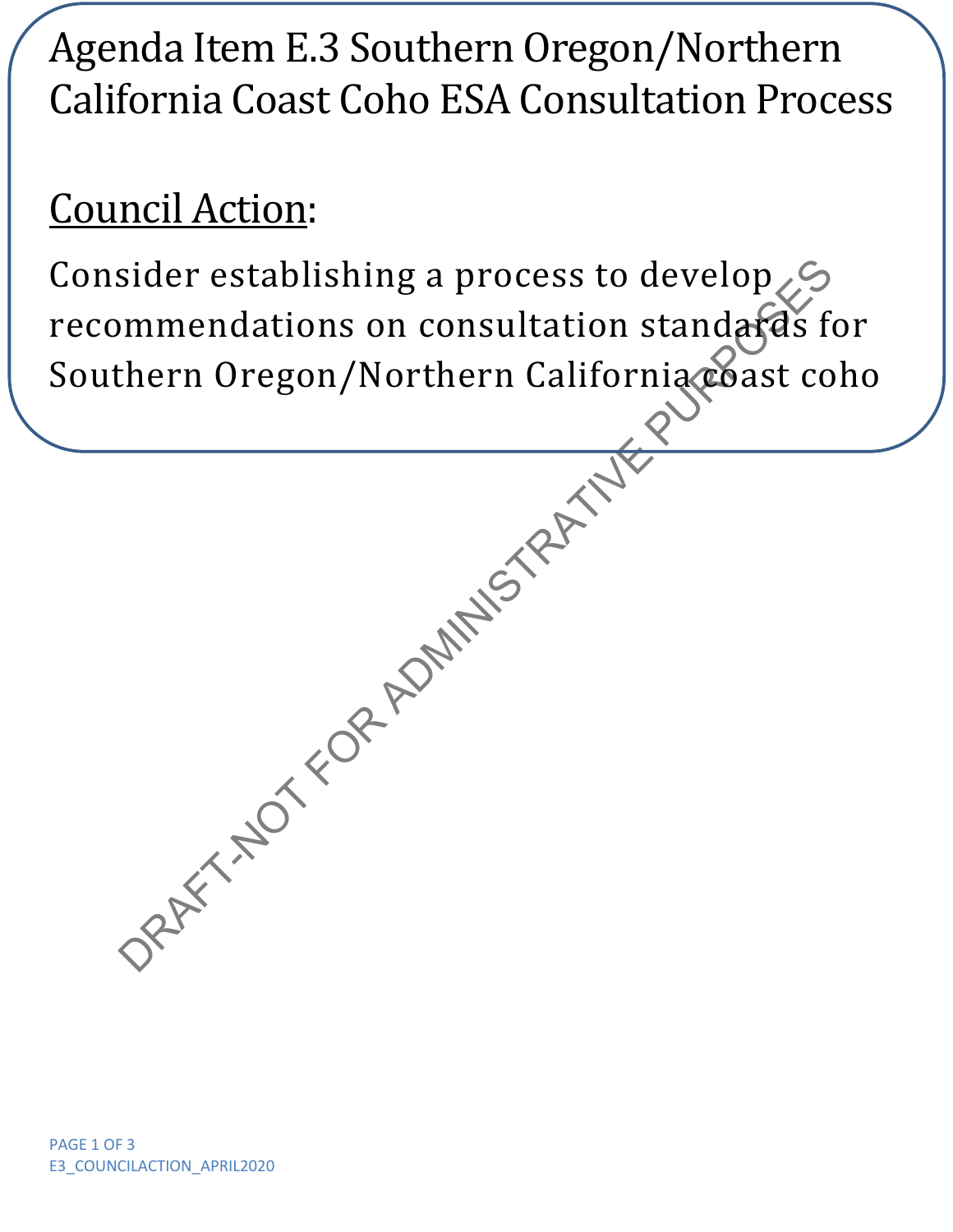# Agenda Item E.3 Southern Oregon/Northern California Coast Coho ESA Consultation Process

## Council Action:

ORAFT-NOT FOR ADMINISTRATIVE Consider establishing a process to develop recommendations on consultation standards for Southern Oregon/Northern California coast coho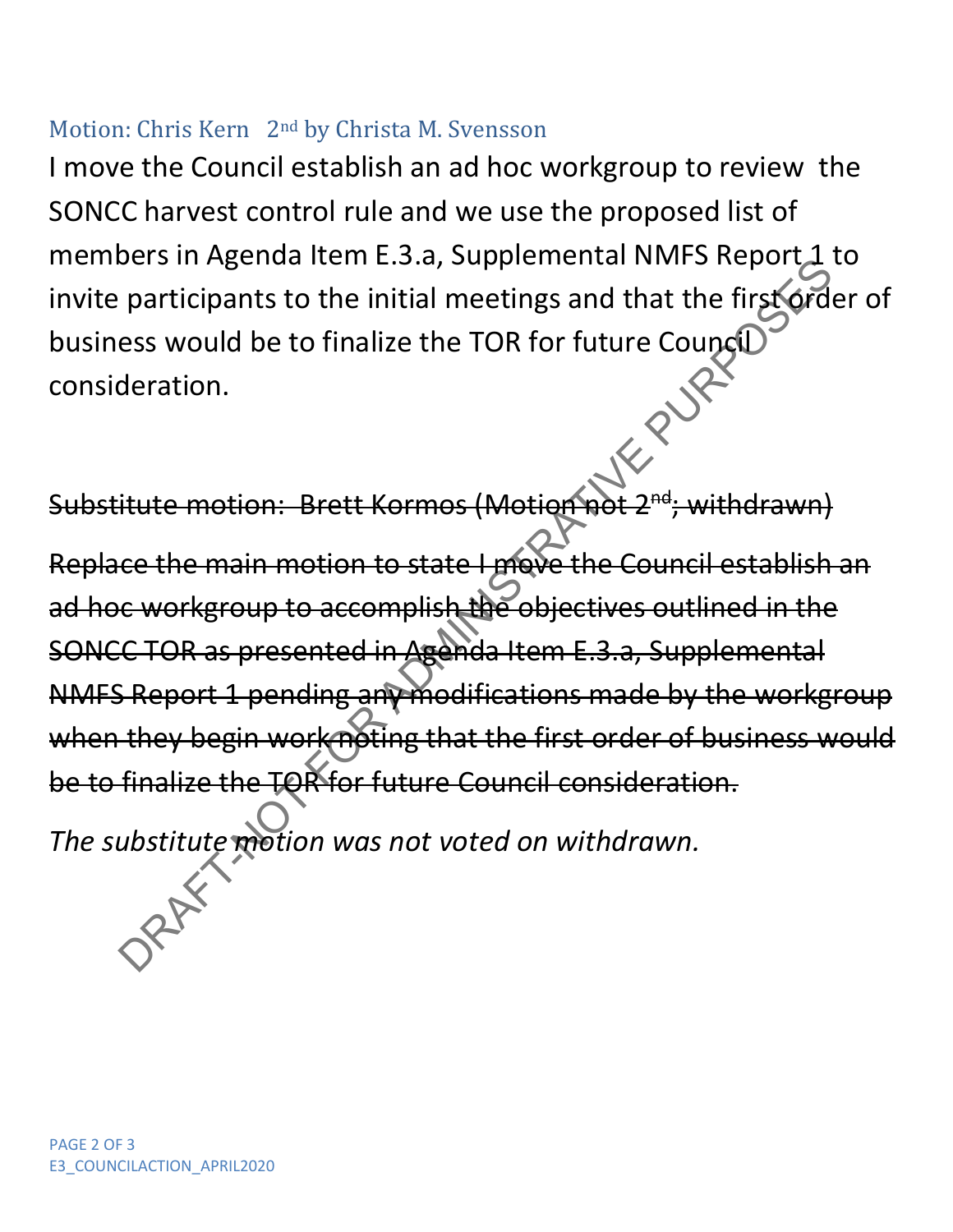### Motion: Chris Kern 2nd by Christa M. Svensson

I move the Council establish an ad hoc workgroup to review the SONCC harvest control rule and we use the proposed list of members in Agenda Item E.3.a, Supplemental NMFS Report 1 to invite participants to the initial meetings and that the first order of business would be to finalize the TOR for future Council consideration.

Substitute motion: Brett Kormos (Motion r

Ders in Agenta tiem E.3.a, supplemental with 3 Report to participants to the initial meetings and that the first orders would be to finalize the TOR for future Council<br>deration.<br>
Hutte motion: Brett Kormos (Motion For Fast Replace the main motion to state I move the Council establish an ad hoc workgroup to accomplish the objectives outlined in the SONCC TOR as presented in Agenda Item E.3.a, Supplemental NMFS Report 1 pending any modifications made by the workgroup when they begin work noting that the first order of business would be to finalize the TOR for future Council consideration.

*The substitute motion was not voted on withdrawn.*